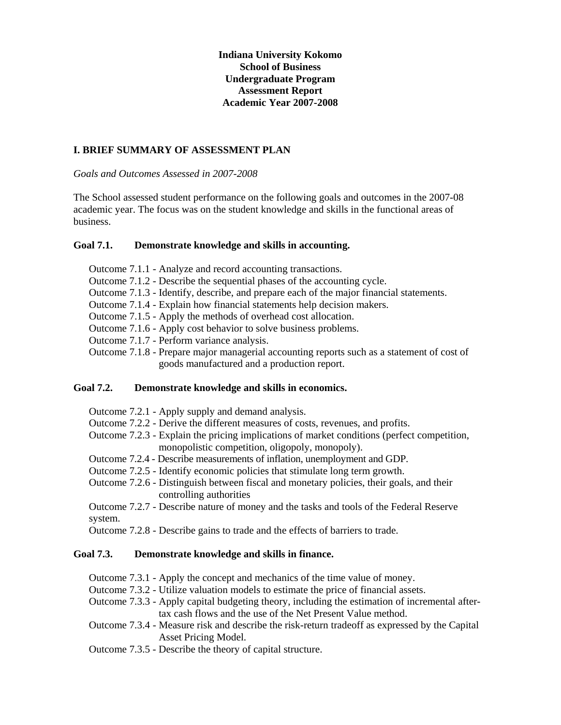**Indiana University Kokomo School of Business Undergraduate Program Assessment Report Academic Year 2007-2008** 

## **I. BRIEF SUMMARY OF ASSESSMENT PLAN**

*Goals and Outcomes Assessed in 2007-2008* 

The School assessed student performance on the following goals and outcomes in the 2007-08 academic year. The focus was on the student knowledge and skills in the functional areas of business.

#### **Goal 7.1. Demonstrate knowledge and skills in accounting.**

- Outcome 7.1.1 Analyze and record accounting transactions.
- Outcome 7.1.2 Describe the sequential phases of the accounting cycle.
- Outcome 7.1.3 Identify, describe, and prepare each of the major financial statements.
- Outcome 7.1.4 Explain how financial statements help decision makers.
- Outcome 7.1.5 Apply the methods of overhead cost allocation.
- Outcome 7.1.6 Apply cost behavior to solve business problems.
- Outcome 7.1.7 Perform variance analysis.
- Outcome 7.1.8 Prepare major managerial accounting reports such as a statement of cost of goods manufactured and a production report.

#### **Goal 7.2. Demonstrate knowledge and skills in economics.**

- Outcome 7.2.1 Apply supply and demand analysis.
- Outcome 7.2.2 Derive the different measures of costs, revenues, and profits.
- Outcome 7.2.3 Explain the pricing implications of market conditions (perfect competition, monopolistic competition, oligopoly, monopoly).
- Outcome 7.2.4 Describe measurements of inflation, unemployment and GDP.
- Outcome 7.2.5 Identify economic policies that stimulate long term growth.
- Outcome 7.2.6 Distinguish between fiscal and monetary policies, their goals, and their controlling authorities

Outcome 7.2.7 - Describe nature of money and the tasks and tools of the Federal Reserve system.

Outcome 7.2.8 - Describe gains to trade and the effects of barriers to trade.

#### **Goal 7.3. Demonstrate knowledge and skills in finance.**

- Outcome 7.3.1 Apply the concept and mechanics of the time value of money.
- Outcome 7.3.2 Utilize valuation models to estimate the price of financial assets.
- Outcome 7.3.3 Apply capital budgeting theory, including the estimation of incremental aftertax cash flows and the use of the Net Present Value method.
- Outcome 7.3.4 Measure risk and describe the risk-return tradeoff as expressed by the Capital Asset Pricing Model.
- Outcome 7.3.5 Describe the theory of capital structure.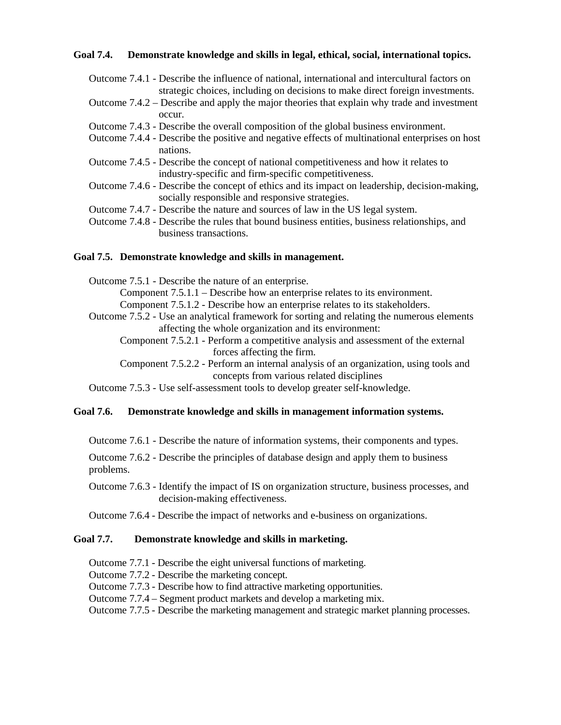## **Goal 7.4. Demonstrate knowledge and skills in legal, ethical, social, international topics.**

Outcome 7.4.1 - Describe the influence of national, international and intercultural factors on strategic choices, including on decisions to make direct foreign investments. Outcome 7.4.2 – Describe and apply the major theories that explain why trade and investment occur. Outcome 7.4.3 - Describe the overall composition of the global business environment. Outcome 7.4.4 - Describe the positive and negative effects of multinational enterprises on host nations. Outcome 7.4.5 - Describe the concept of national competitiveness and how it relates to

- industry-specific and firm-specific competitiveness.
- Outcome 7.4.6 Describe the concept of ethics and its impact on leadership, decision-making, socially responsible and responsive strategies.
- Outcome 7.4.7 Describe the nature and sources of law in the US legal system.
- Outcome 7.4.8 Describe the rules that bound business entities, business relationships, and business transactions.

## **Goal 7.5. Demonstrate knowledge and skills in management.**

Outcome 7.5.1 - Describe the nature of an enterprise.

Component 7.5.1.1 – Describe how an enterprise relates to its environment.

Component 7.5.1.2 - Describe how an enterprise relates to its stakeholders.

Outcome 7.5.2 - Use an analytical framework for sorting and relating the numerous elements affecting the whole organization and its environment:

Component 7.5.2.1 - Perform a competitive analysis and assessment of the external forces affecting the firm.

Component 7.5.2.2 - Perform an internal analysis of an organization, using tools and concepts from various related disciplines

Outcome 7.5.3 - Use self-assessment tools to develop greater self-knowledge.

# **Goal 7.6. Demonstrate knowledge and skills in management information systems.**

Outcome 7.6.1 - Describe the nature of information systems, their components and types.

Outcome 7.6.2 - Describe the principles of database design and apply them to business problems.

Outcome 7.6.3 - Identify the impact of IS on organization structure, business processes, and decision-making effectiveness.

Outcome 7.6.4 - Describe the impact of networks and e-business on organizations.

# **Goal 7.7. Demonstrate knowledge and skills in marketing.**

Outcome 7.7.1 - Describe the eight universal functions of marketing.

Outcome 7.7.2 - Describe the marketing concept.

Outcome 7.7.3 - Describe how to find attractive marketing opportunities.

Outcome 7.7.4 – Segment product markets and develop a marketing mix.

Outcome 7.7.5 - Describe the marketing management and strategic market planning processes.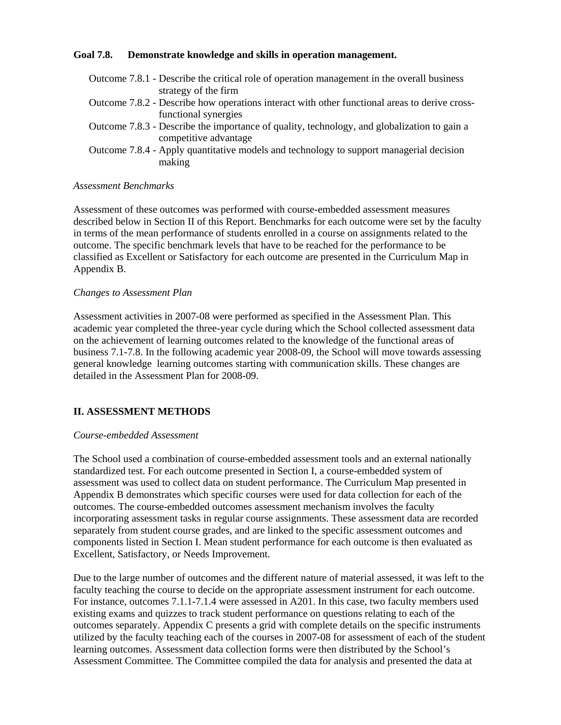## **Goal 7.8. Demonstrate knowledge and skills in operation management.**

| Outcome 7.8.1 - Describe the critical role of operation management in the overall business    |
|-----------------------------------------------------------------------------------------------|
| strategy of the firm                                                                          |
| Outcome 7.8.2 - Describe how operations interact with other functional areas to derive cross- |
| functional synergies                                                                          |
| Outcome 7.8.3 - Describe the importance of quality, technology, and globalization to gain a   |
| competitive advantage                                                                         |
|                                                                                               |

Outcome 7.8.4 - Apply quantitative models and technology to support managerial decision making

#### *Assessment Benchmarks*

Assessment of these outcomes was performed with course-embedded assessment measures described below in Section II of this Report. Benchmarks for each outcome were set by the faculty in terms of the mean performance of students enrolled in a course on assignments related to the outcome. The specific benchmark levels that have to be reached for the performance to be classified as Excellent or Satisfactory for each outcome are presented in the Curriculum Map in Appendix B.

## *Changes to Assessment Plan*

Assessment activities in 2007-08 were performed as specified in the Assessment Plan. This academic year completed the three-year cycle during which the School collected assessment data on the achievement of learning outcomes related to the knowledge of the functional areas of business 7.1-7.8. In the following academic year 2008-09, the School will move towards assessing general knowledge learning outcomes starting with communication skills. These changes are detailed in the Assessment Plan for 2008-09.

# **II. ASSESSMENT METHODS**

# *Course-embedded Assessment*

The School used a combination of course-embedded assessment tools and an external nationally standardized test. For each outcome presented in Section I, a course-embedded system of assessment was used to collect data on student performance. The Curriculum Map presented in Appendix B demonstrates which specific courses were used for data collection for each of the outcomes. The course-embedded outcomes assessment mechanism involves the faculty incorporating assessment tasks in regular course assignments. These assessment data are recorded separately from student course grades, and are linked to the specific assessment outcomes and components listed in Section I. Mean student performance for each outcome is then evaluated as Excellent, Satisfactory, or Needs Improvement.

Due to the large number of outcomes and the different nature of material assessed, it was left to the faculty teaching the course to decide on the appropriate assessment instrument for each outcome. For instance, outcomes 7.1.1-7.1.4 were assessed in A201. In this case, two faculty members used existing exams and quizzes to track student performance on questions relating to each of the outcomes separately. Appendix C presents a grid with complete details on the specific instruments utilized by the faculty teaching each of the courses in 2007-08 for assessment of each of the student learning outcomes. Assessment data collection forms were then distributed by the School's Assessment Committee. The Committee compiled the data for analysis and presented the data at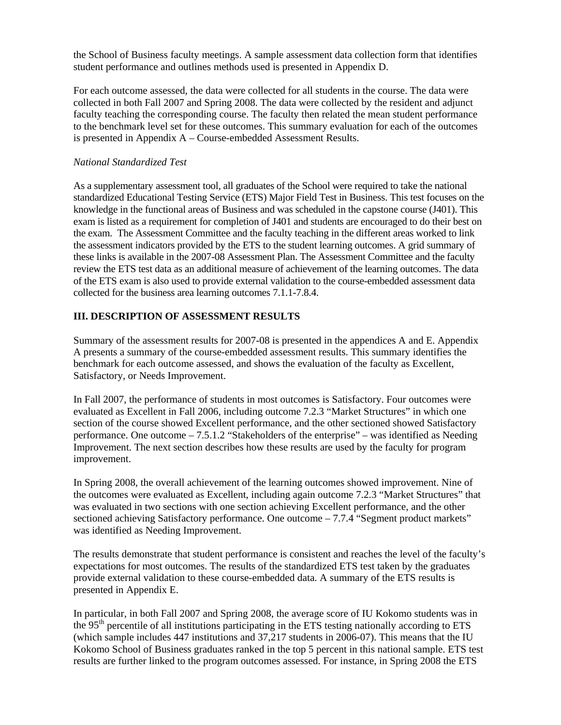the School of Business faculty meetings. A sample assessment data collection form that identifies student performance and outlines methods used is presented in Appendix D.

For each outcome assessed, the data were collected for all students in the course. The data were collected in both Fall 2007 and Spring 2008. The data were collected by the resident and adjunct faculty teaching the corresponding course. The faculty then related the mean student performance to the benchmark level set for these outcomes. This summary evaluation for each of the outcomes is presented in Appendix A – Course-embedded Assessment Results.

## *National Standardized Test*

As a supplementary assessment tool, all graduates of the School were required to take the national standardized Educational Testing Service (ETS) Major Field Test in Business. This test focuses on the knowledge in the functional areas of Business and was scheduled in the capstone course (J401). This exam is listed as a requirement for completion of J401 and students are encouraged to do their best on the exam. The Assessment Committee and the faculty teaching in the different areas worked to link the assessment indicators provided by the ETS to the student learning outcomes. A grid summary of these links is available in the 2007-08 Assessment Plan. The Assessment Committee and the faculty review the ETS test data as an additional measure of achievement of the learning outcomes. The data of the ETS exam is also used to provide external validation to the course-embedded assessment data collected for the business area learning outcomes 7.1.1-7.8.4.

# **III. DESCRIPTION OF ASSESSMENT RESULTS**

Summary of the assessment results for 2007-08 is presented in the appendices A and E. Appendix A presents a summary of the course-embedded assessment results. This summary identifies the benchmark for each outcome assessed, and shows the evaluation of the faculty as Excellent, Satisfactory, or Needs Improvement.

In Fall 2007, the performance of students in most outcomes is Satisfactory. Four outcomes were evaluated as Excellent in Fall 2006, including outcome 7.2.3 "Market Structures" in which one section of the course showed Excellent performance, and the other sectioned showed Satisfactory performance. One outcome – 7.5.1.2 "Stakeholders of the enterprise" – was identified as Needing Improvement. The next section describes how these results are used by the faculty for program improvement.

In Spring 2008, the overall achievement of the learning outcomes showed improvement. Nine of the outcomes were evaluated as Excellent, including again outcome 7.2.3 "Market Structures" that was evaluated in two sections with one section achieving Excellent performance, and the other sectioned achieving Satisfactory performance. One outcome – 7.7.4 "Segment product markets" was identified as Needing Improvement.

The results demonstrate that student performance is consistent and reaches the level of the faculty's expectations for most outcomes. The results of the standardized ETS test taken by the graduates provide external validation to these course-embedded data. A summary of the ETS results is presented in Appendix E.

In particular, in both Fall 2007 and Spring 2008, the average score of IU Kokomo students was in the  $95<sup>th</sup>$  percentile of all institutions participating in the ETS testing nationally according to ETS (which sample includes 447 institutions and 37,217 students in 2006-07). This means that the IU Kokomo School of Business graduates ranked in the top 5 percent in this national sample. ETS test results are further linked to the program outcomes assessed. For instance, in Spring 2008 the ETS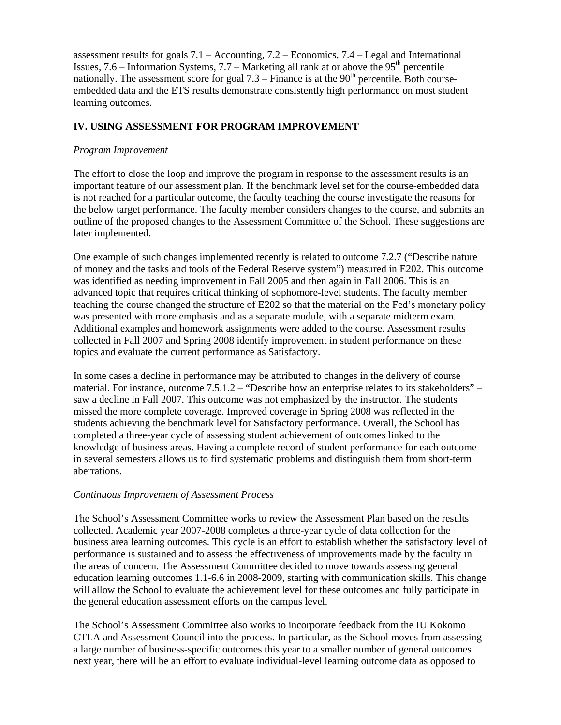assessment results for goals 7.1 – Accounting, 7.2 – Economics, 7.4 – Legal and International Issues,  $7.6$  – Information Systems,  $7.7$  – Marketing all rank at or above the  $95<sup>th</sup>$  percentile nationally. The assessment score for goal  $7.3$  – Finance is at the  $90<sup>th</sup>$  percentile. Both courseembedded data and the ETS results demonstrate consistently high performance on most student learning outcomes.

# **IV. USING ASSESSMENT FOR PROGRAM IMPROVEMENT**

#### *Program Improvement*

The effort to close the loop and improve the program in response to the assessment results is an important feature of our assessment plan. If the benchmark level set for the course-embedded data is not reached for a particular outcome, the faculty teaching the course investigate the reasons for the below target performance. The faculty member considers changes to the course, and submits an outline of the proposed changes to the Assessment Committee of the School. These suggestions are later implemented.

One example of such changes implemented recently is related to outcome 7.2.7 ("Describe nature of money and the tasks and tools of the Federal Reserve system") measured in E202. This outcome was identified as needing improvement in Fall 2005 and then again in Fall 2006. This is an advanced topic that requires critical thinking of sophomore-level students. The faculty member teaching the course changed the structure of E202 so that the material on the Fed's monetary policy was presented with more emphasis and as a separate module, with a separate midterm exam. Additional examples and homework assignments were added to the course. Assessment results collected in Fall 2007 and Spring 2008 identify improvement in student performance on these topics and evaluate the current performance as Satisfactory.

In some cases a decline in performance may be attributed to changes in the delivery of course material. For instance, outcome 7.5.1.2 – "Describe how an enterprise relates to its stakeholders" – saw a decline in Fall 2007. This outcome was not emphasized by the instructor. The students missed the more complete coverage. Improved coverage in Spring 2008 was reflected in the students achieving the benchmark level for Satisfactory performance. Overall, the School has completed a three-year cycle of assessing student achievement of outcomes linked to the knowledge of business areas. Having a complete record of student performance for each outcome in several semesters allows us to find systematic problems and distinguish them from short-term aberrations.

#### *Continuous Improvement of Assessment Process*

The School's Assessment Committee works to review the Assessment Plan based on the results collected. Academic year 2007-2008 completes a three-year cycle of data collection for the business area learning outcomes. This cycle is an effort to establish whether the satisfactory level of performance is sustained and to assess the effectiveness of improvements made by the faculty in the areas of concern. The Assessment Committee decided to move towards assessing general education learning outcomes 1.1-6.6 in 2008-2009, starting with communication skills. This change will allow the School to evaluate the achievement level for these outcomes and fully participate in the general education assessment efforts on the campus level.

The School's Assessment Committee also works to incorporate feedback from the IU Kokomo CTLA and Assessment Council into the process. In particular, as the School moves from assessing a large number of business-specific outcomes this year to a smaller number of general outcomes next year, there will be an effort to evaluate individual-level learning outcome data as opposed to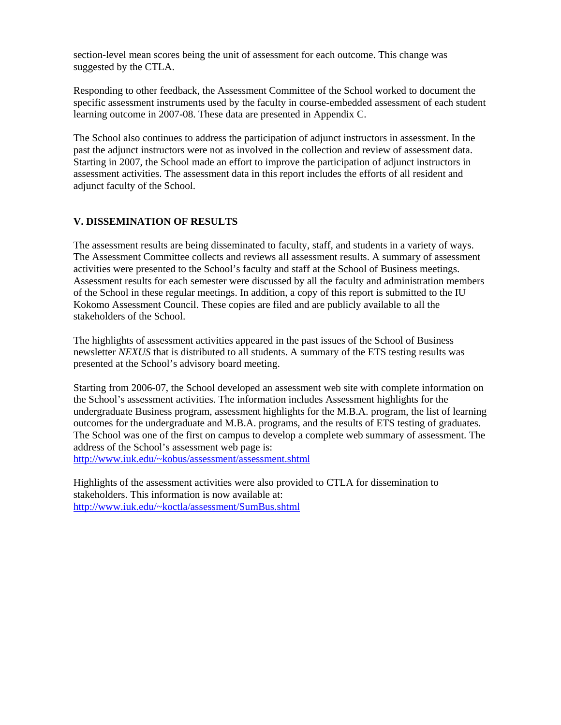section-level mean scores being the unit of assessment for each outcome. This change was suggested by the CTLA.

Responding to other feedback, the Assessment Committee of the School worked to document the specific assessment instruments used by the faculty in course-embedded assessment of each student learning outcome in 2007-08. These data are presented in Appendix C.

The School also continues to address the participation of adjunct instructors in assessment. In the past the adjunct instructors were not as involved in the collection and review of assessment data. Starting in 2007, the School made an effort to improve the participation of adjunct instructors in assessment activities. The assessment data in this report includes the efforts of all resident and adjunct faculty of the School.

# **V. DISSEMINATION OF RESULTS**

The assessment results are being disseminated to faculty, staff, and students in a variety of ways. The Assessment Committee collects and reviews all assessment results. A summary of assessment activities were presented to the School's faculty and staff at the School of Business meetings. Assessment results for each semester were discussed by all the faculty and administration members of the School in these regular meetings. In addition, a copy of this report is submitted to the IU Kokomo Assessment Council. These copies are filed and are publicly available to all the stakeholders of the School.

The highlights of assessment activities appeared in the past issues of the School of Business newsletter *NEXUS* that is distributed to all students. A summary of the ETS testing results was presented at the School's advisory board meeting.

Starting from 2006-07, the School developed an assessment web site with complete information on the School's assessment activities. The information includes Assessment highlights for the undergraduate Business program, assessment highlights for the M.B.A. program, the list of learning outcomes for the undergraduate and M.B.A. programs, and the results of ETS testing of graduates. The School was one of the first on campus to develop a complete web summary of assessment. The address of the School's assessment web page is: http://www.iuk.edu/~kobus/assessment/assessment.shtml

Highlights of the assessment activities were also provided to CTLA for dissemination to stakeholders. This information is now available at: http://www.iuk.edu/~koctla/assessment/SumBus.shtml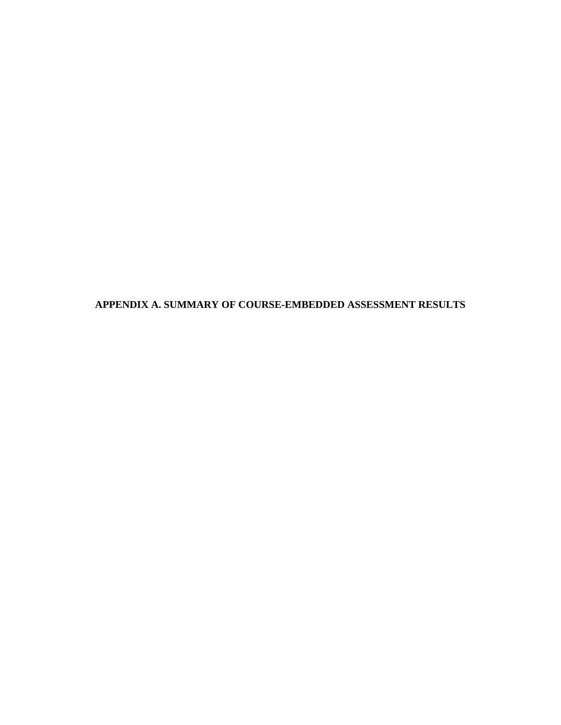**APPENDIX A. SUMMARY OF COURSE-EMBEDDED ASSESSMENT RESULTS**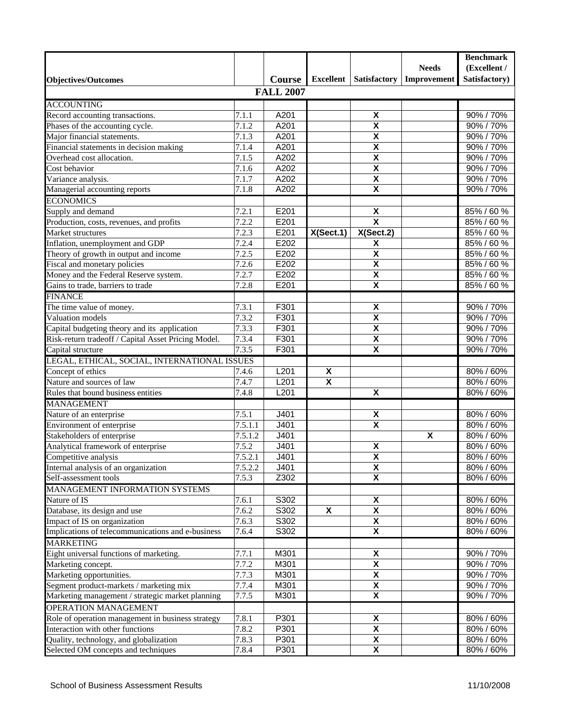|                                                     |         |                  |                           |                           |                           | <b>Benchmark</b> |
|-----------------------------------------------------|---------|------------------|---------------------------|---------------------------|---------------------------|------------------|
|                                                     |         |                  |                           |                           | <b>Needs</b>              | (Excellent /     |
| <b>Objectives/Outcomes</b>                          |         | <b>Course</b>    | Excellent                 | <b>Satisfactory</b>       | Improvement               | Satisfactory)    |
|                                                     |         | <b>FALL 2007</b> |                           |                           |                           |                  |
| <b>ACCOUNTING</b>                                   |         |                  |                           |                           |                           |                  |
| Record accounting transactions.                     | 7.1.1   | A201             |                           | $\pmb{\mathsf{X}}$        |                           | 90% / 70%        |
| Phases of the accounting cycle.                     | 7.1.2   | A201             |                           | χ                         |                           | 90% / 70%        |
| Major financial statements.                         | 7.1.3   | A201             |                           | $\pmb{\mathsf{X}}$        |                           | 90% / 70%        |
| Financial statements in decision making             | 7.1.4   | A201             |                           | $\pmb{\mathsf{X}}$        |                           | 90% / 70%        |
| Overhead cost allocation.                           | 7.1.5   | A202             |                           | $\pmb{\mathsf{X}}$        |                           | 90% / 70%        |
| Cost behavior                                       | 7.1.6   | A202             |                           | $\pmb{\mathsf{X}}$        |                           | 90% / 70%        |
| Variance analysis.                                  | 7.1.7   | A202             |                           | $\pmb{\mathsf{X}}$        |                           | 90% / 70%        |
| Managerial accounting reports                       | 7.1.8   | A202             |                           | $\overline{\mathbf{x}}$   |                           | 90% / 70%        |
| <b>ECONOMICS</b>                                    |         |                  |                           |                           |                           |                  |
| Supply and demand                                   | 7.2.1   | E201             |                           | $\pmb{\mathsf{X}}$        |                           | 85% / 60 %       |
| Production, costs, revenues, and profits            | 7.2.2   | E201             |                           | $\overline{\mathbf{x}}$   |                           | 85% / 60 %       |
| Market structures                                   | 7.2.3   | E201             | X(Sect.1)                 | X(Sect. 2)                |                           | 85% / 60 %       |
| Inflation, unemployment and GDP                     | 7.2.4   | E202             |                           | $\pmb{\mathsf{X}}$        |                           | 85% / 60 %       |
| Theory of growth in output and income               | 7.2.5   | E202             |                           | $\overline{\mathbf{x}}$   |                           | 85% / 60 %       |
| Fiscal and monetary policies                        | 7.2.6   | E202             |                           | $\boldsymbol{\mathsf{X}}$ |                           | 85% / 60 %       |
| Money and the Federal Reserve system.               | 7.2.7   | E202             |                           | $\overline{\mathbf{x}}$   |                           | 85% / 60 %       |
| Gains to trade, barriers to trade                   | 7.2.8   | E201             |                           | $\pmb{\mathsf{X}}$        |                           | 85% / 60 %       |
| <b>FINANCE</b>                                      |         |                  |                           |                           |                           |                  |
| The time value of money.                            | 7.3.1   | F301             |                           | $\boldsymbol{\mathsf{X}}$ |                           | 90% / 70%        |
| Valuation models                                    | 7.3.2   | F301             |                           | $\pmb{\mathsf{X}}$        |                           | 90% / 70%        |
| Capital budgeting theory and its application        | 7.3.3   | F301             |                           | $\boldsymbol{\mathsf{X}}$ |                           | 90% / 70%        |
| Risk-return tradeoff / Capital Asset Pricing Model. | 7.3.4   | F301             |                           | $\pmb{\mathsf{X}}$        |                           | 90% / 70%        |
| Capital structure                                   | 7.3.5   | F301             |                           | $\boldsymbol{\mathsf{X}}$ |                           | 90% / 70%        |
| LEGAL, ETHICAL, SOCIAL, INTERNATIONAL ISSUES        |         |                  |                           |                           |                           |                  |
| Concept of ethics                                   | 7.4.6   | L201             | χ                         |                           |                           | 80% / 60%        |
| Nature and sources of law                           | 7.4.7   | L201             | $\boldsymbol{\mathsf{X}}$ |                           |                           | 80% / 60%        |
| Rules that bound business entities                  | 7.4.8   | L201             |                           | $\pmb{\mathsf{X}}$        |                           | 80% / 60%        |
| <b>MANAGEMENT</b>                                   |         |                  |                           |                           |                           |                  |
| Nature of an enterprise                             | 7.5.1   | J401             |                           | X                         |                           | 80% / 60%        |
| Environment of enterprise                           | 7.5.1.1 | J401             |                           | $\overline{\mathbf{x}}$   |                           | 80% / 60%        |
| Stakeholders of enterprise                          | 7.5.1.2 | J401             |                           |                           | $\boldsymbol{\mathsf{x}}$ | 80% / 60%        |
| Analytical framework of enterprise                  | 7.5.2   | J401             |                           | X                         |                           | 80% / 60%        |
| Competitive analysis                                | 7.5.2.1 | J401             |                           | $\overline{\mathbf{x}}$   |                           | 80% / 60%        |
| Internal analysis of an organization                | 7.5.2.2 | J401             |                           | X                         |                           | 80% / 60%        |
| Self-assessment tools                               | 7.5.3   | Z302             |                           | $\overline{\mathbf{x}}$   |                           | 80% / 60%        |
| MANAGEMENT INFORMATION SYSTEMS                      |         |                  |                           |                           |                           |                  |
| Nature of IS                                        | 7.6.1   | S302             |                           | X                         |                           | 80% / 60%        |
| Database, its design and use                        | 7.6.2   | S302             | X                         | X                         |                           | 80% / 60%        |
| Impact of IS on organization                        | 7.6.3   | S302             |                           | X                         |                           | 80% / 60%        |
| Implications of telecommunications and e-business   | 7.6.4   | S302             |                           | X                         |                           | 80% / 60%        |
| <b>MARKETING</b>                                    |         |                  |                           |                           |                           |                  |
| Eight universal functions of marketing.             | 7.7.1   | M301             |                           | X                         |                           | 90% / 70%        |
| Marketing concept.                                  | 7.7.2   | M301             |                           | X                         |                           | 90% / 70%        |
| Marketing opportunities.                            | 7.7.3   | M301             |                           | X                         |                           | 90% / 70%        |
| Segment product-markets / marketing mix             | 7.7.4   | M301             |                           | X                         |                           | 90% / 70%        |
| Marketing management / strategic market planning    | 7.7.5   | M301             |                           | $\overline{\mathbf{X}}$   |                           | 90% / 70%        |
| <b>OPERATION MANAGEMENT</b>                         |         |                  |                           |                           |                           |                  |
| Role of operation management in business strategy   | 7.8.1   | P301             |                           | X                         |                           | 80% / 60%        |
| Interaction with other functions                    | 7.8.2   | P301             |                           | X                         |                           | 80% / 60%        |
| Quality, technology, and globalization              | 7.8.3   | P301             |                           | $\pmb{\mathsf{X}}$        |                           | 80% / 60%        |
| Selected OM concepts and techniques                 | 7.8.4   | P301             |                           | $\boldsymbol{\mathsf{X}}$ |                           | 80% / 60%        |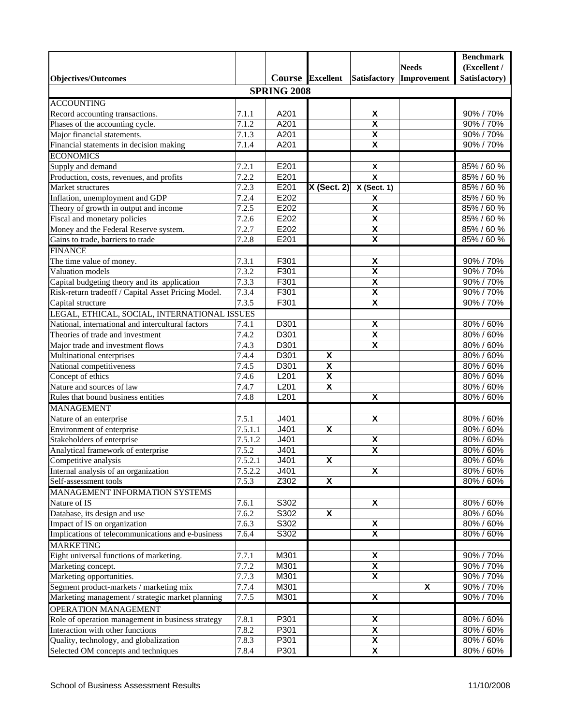|                                                     |                      |                    |                           |                         |              | <b>Benchmark</b> |
|-----------------------------------------------------|----------------------|--------------------|---------------------------|-------------------------|--------------|------------------|
|                                                     |                      |                    |                           |                         | <b>Needs</b> | (Excellent /     |
| <b>Objectives/Outcomes</b>                          |                      |                    | Course Excellent          | Satisfactory            | Improvement  | Satisfactory)    |
|                                                     |                      | <b>SPRING 2008</b> |                           |                         |              |                  |
| <b>ACCOUNTING</b>                                   |                      |                    |                           |                         |              |                  |
| Record accounting transactions.                     | 7.1.1                | A201               |                           | X                       |              | 90% / 70%        |
| Phases of the accounting cycle.                     | 7.1.2                | A201               |                           | X                       |              | 90% / 70%        |
| Major financial statements.                         | 7.1.3                | A201               |                           | $\pmb{\mathsf{X}}$      |              | 90% / 70%        |
| Financial statements in decision making             | 7.1.4                | A201               |                           | $\overline{\mathbf{x}}$ |              | 90% / 70%        |
| <b>ECONOMICS</b>                                    |                      |                    |                           |                         |              |                  |
| Supply and demand                                   | 7.2.1                | E201               |                           | $\pmb{\mathsf{X}}$      |              | 85% / 60 %       |
| Production, costs, revenues, and profits            | 7.2.2                | E201               |                           | $\overline{\mathbf{x}}$ |              | 85% / 60 %       |
| Market structures                                   | 7.2.3                | E201               | $X$ (Sect. 2)             | X (Sect. 1)             |              | 85% / 60 %       |
| Inflation, unemployment and GDP                     | 7.2.4                | E202               |                           | X                       |              | 85% / 60 %       |
| Theory of growth in output and income               | 7.2.5                | E202               |                           | $\overline{\mathbf{x}}$ |              | 85% / 60 %       |
| Fiscal and monetary policies                        | 7.2.6                | E202               |                           | $\overline{\mathbf{x}}$ |              | 85% / 60 %       |
| Money and the Federal Reserve system.               | 7.2.7                | E202               |                           | $\pmb{\mathsf{X}}$      |              | 85% / 60 %       |
| Gains to trade, barriers to trade                   | 7.2.8                | E201               |                           | $\pmb{\mathsf{X}}$      |              | 85% / 60 %       |
| <b>FINANCE</b>                                      |                      |                    |                           |                         |              |                  |
| The time value of money.                            | 7.3.1                | F301               |                           | X                       |              | 90% / 70%        |
| Valuation models                                    | 7.3.2                | F301               |                           | $\pmb{\mathsf{X}}$      |              | 90% / 70%        |
| Capital budgeting theory and its application        | 7.3.3                | F301               |                           | $\overline{\mathbf{x}}$ |              | 90% / 70%        |
| Risk-return tradeoff / Capital Asset Pricing Model. | 7.3.4                | F301               |                           | $\overline{\mathbf{X}}$ |              | 90% / 70%        |
| Capital structure                                   | 7.3.5                | F301               |                           | $\overline{\mathbf{x}}$ |              | 90% / 70%        |
| LEGAL, ETHICAL, SOCIAL, INTERNATIONAL ISSUES        |                      |                    |                           |                         |              |                  |
| National, international and intercultural factors   | 7.4.1                | D301               |                           | $\pmb{\mathsf{X}}$      |              | 80% / 60%        |
| Theories of trade and investment                    | $\overline{7}.4.2$   | D301               |                           | $\overline{\mathbf{X}}$ |              | 80% / 60%        |
| Major trade and investment flows                    | 7.4.3                | D301               |                           | $\pmb{\mathsf{X}}$      |              | 80% / 60%        |
| Multinational enterprises                           | 7.4.4                | D301               | X                         |                         |              | 80% / 60%        |
| National competitiveness                            | 7.4.5                | D301               | $\pmb{\mathsf{X}}$        |                         |              | 80% / 60%        |
| Concept of ethics                                   | 7.4.6                | L201               | $\overline{\mathbf{x}}$   |                         |              | 80% / 60%        |
| Nature and sources of law                           | 7.4.7                | L201               | $\boldsymbol{\mathsf{x}}$ |                         |              | 80% / 60%        |
| Rules that bound business entities                  | 7.4.8                | L201               |                           | $\overline{\mathbf{x}}$ |              | 80% / 60%        |
| <b>MANAGEMENT</b>                                   |                      |                    |                           |                         |              |                  |
| Nature of an enterprise                             | 7.5.1                | J401               |                           | $\overline{\mathbf{x}}$ |              | 80% / 60%        |
| Environment of enterprise                           | 7.5.1.1              | J401               | X                         |                         |              | 80% / 60%        |
| Stakeholders of enterprise                          | 7.5.1.2              | J401               |                           | $\pmb{\mathsf{X}}$      |              | 80% / 60%        |
| Analytical framework of enterprise                  | 7.5.2                | J401               |                           | $\overline{\mathbf{x}}$ |              | 80% / 60%        |
| Competitive analysis                                | 7.5.2.1              | J401               | $\overline{\mathbf{X}}$   |                         |              | 80% / 60%        |
| Internal analysis of an organization                | $\overline{7.5.2.2}$ | J401               |                           | $\overline{\mathbf{x}}$ |              | 80% / 60%        |
| Self-assessment tools                               | 7.5.3                | Z302               | X                         |                         |              | 80% / 60%        |
| MANAGEMENT INFORMATION SYSTEMS                      |                      |                    |                           |                         |              |                  |
| Nature of IS                                        | 7.6.1                | S302               |                           | X                       |              | 80% / 60%        |
| Database, its design and use                        | 7.6.2                | S302               | X                         |                         |              | 80% / 60%        |
| Impact of IS on organization                        | 7.6.3                | S302               |                           | X                       |              | 80% / 60%        |
| Implications of telecommunications and e-business   | 7.6.4                | S302               |                           | $\overline{\mathbf{x}}$ |              | 80% / 60%        |
| <b>MARKETING</b>                                    |                      |                    |                           |                         |              |                  |
| Eight universal functions of marketing.             | 7.7.1                | M301               |                           | X                       |              | 90% / 70%        |
| Marketing concept.                                  | 7.7.2                | M301               |                           | X                       |              | 90% / 70%        |
| Marketing opportunities.                            | 7.7.3                | M301               |                           | X                       |              | 90% / 70%        |
| Segment product-markets / marketing mix             | 7.7.4                | M301               |                           |                         | X            | 90% / 70%        |
| Marketing management / strategic market planning    | 7.7.5                | M301               |                           | $\overline{\mathbf{x}}$ |              | 90% / 70%        |
| OPERATION MANAGEMENT                                |                      |                    |                           |                         |              |                  |
| Role of operation management in business strategy   | 7.8.1                | P301               |                           | X                       |              | 80% / 60%        |
| Interaction with other functions                    | 7.8.2                | P301               |                           | X                       |              | 80% / 60%        |
| Quality, technology, and globalization              | 7.8.3                | P301               |                           | X                       |              | 80% / 60%        |
| Selected OM concepts and techniques                 | 7.8.4                | P301               |                           | X                       |              | 80% / 60%        |
|                                                     |                      |                    |                           |                         |              |                  |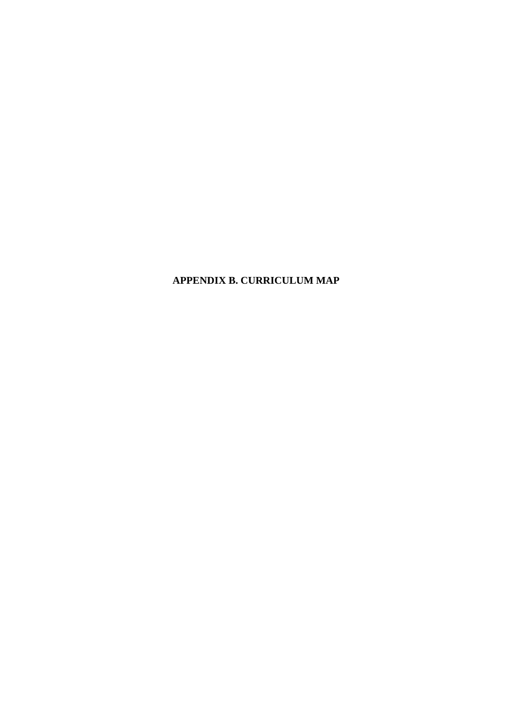**APPENDIX B. CURRICULUM MAP**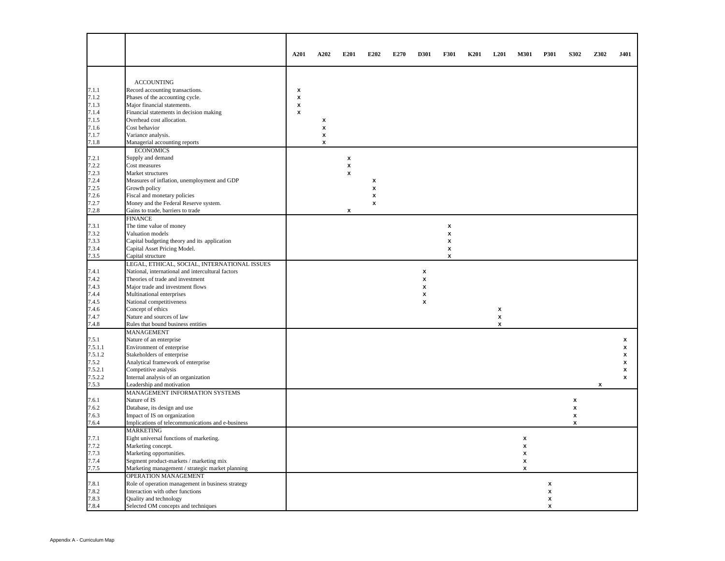|         |                                                   | A201               | A202 | E201               | E202 | E270 | D301 | F301 | <b>K201</b> | L <sub>201</sub> | M301 | P301 | S302               | Z302 | J401 |
|---------|---------------------------------------------------|--------------------|------|--------------------|------|------|------|------|-------------|------------------|------|------|--------------------|------|------|
|         |                                                   |                    |      |                    |      |      |      |      |             |                  |      |      |                    |      |      |
|         | <b>ACCOUNTING</b>                                 |                    |      |                    |      |      |      |      |             |                  |      |      |                    |      |      |
| 7.1.1   | Record accounting transactions.                   | x                  |      |                    |      |      |      |      |             |                  |      |      |                    |      |      |
| 7.1.2   | Phases of the accounting cycle.                   | $\pmb{\mathsf{x}}$ |      |                    |      |      |      |      |             |                  |      |      |                    |      |      |
| 7.1.3   | Major financial statements.                       | $\pmb{\mathsf{x}}$ |      |                    |      |      |      |      |             |                  |      |      |                    |      |      |
| 7.1.4   | Financial statements in decision making           | x                  |      |                    |      |      |      |      |             |                  |      |      |                    |      |      |
| 7.1.5   | Overhead cost allocation.                         |                    | x    |                    |      |      |      |      |             |                  |      |      |                    |      |      |
| 7.1.6   | Cost behavior                                     |                    | x    |                    |      |      |      |      |             |                  |      |      |                    |      |      |
| 7.1.7   | Variance analysis.                                |                    | x    |                    |      |      |      |      |             |                  |      |      |                    |      |      |
| 7.1.8   | Managerial accounting reports                     |                    | x    |                    |      |      |      |      |             |                  |      |      |                    |      |      |
|         | <b>ECONOMICS</b>                                  |                    |      |                    |      |      |      |      |             |                  |      |      |                    |      |      |
| 7.2.1   | Supply and demand                                 |                    |      | X                  |      |      |      |      |             |                  |      |      |                    |      |      |
| 7.2.2   | Cost measures                                     |                    |      | $\pmb{\mathsf{x}}$ |      |      |      |      |             |                  |      |      |                    |      |      |
| 7.2.3   | Market structures                                 |                    |      | $\mathbf{x}$       |      |      |      |      |             |                  |      |      |                    |      |      |
| 7.2.4   | Measures of inflation, unemployment and GDP       |                    |      |                    | X    |      |      |      |             |                  |      |      |                    |      |      |
| 7.2.5   | Growth policy                                     |                    |      |                    | X    |      |      |      |             |                  |      |      |                    |      |      |
| 7.2.6   | Fiscal and monetary policies                      |                    |      |                    | X    |      |      |      |             |                  |      |      |                    |      |      |
| 7.2.7   | Money and the Federal Reserve system.             |                    |      |                    | x    |      |      |      |             |                  |      |      |                    |      |      |
| 7.2.8   | Gains to trade, barriers to trade                 |                    |      | X                  |      |      |      |      |             |                  |      |      |                    |      |      |
|         | <b>FINANCE</b>                                    |                    |      |                    |      |      |      |      |             |                  |      |      |                    |      |      |
|         |                                                   |                    |      |                    |      |      |      |      |             |                  |      |      |                    |      |      |
| 7.3.1   | The time value of money                           |                    |      |                    |      |      |      | X    |             |                  |      |      |                    |      |      |
| 7.3.2   | Valuation models                                  |                    |      |                    |      |      |      | x    |             |                  |      |      |                    |      |      |
| 7.3.3   | Capital budgeting theory and its application      |                    |      |                    |      |      |      | x    |             |                  |      |      |                    |      |      |
| 7.3.4   | Capital Asset Pricing Model.                      |                    |      |                    |      |      |      | x    |             |                  |      |      |                    |      |      |
| 7.3.5   | Capital structure                                 |                    |      |                    |      |      |      | x    |             |                  |      |      |                    |      |      |
|         | LEGAL, ETHICAL, SOCIAL, INTERNATIONAL ISSUES      |                    |      |                    |      |      |      |      |             |                  |      |      |                    |      |      |
| 7.4.1   | National, international and intercultural factors |                    |      |                    |      |      | x    |      |             |                  |      |      |                    |      |      |
| 7.4.2   | Theories of trade and investment                  |                    |      |                    |      |      | x    |      |             |                  |      |      |                    |      |      |
| 7.4.3   | Major trade and investment flows                  |                    |      |                    |      |      | x    |      |             |                  |      |      |                    |      |      |
| 7.4.4   | Multinational enterprises                         |                    |      |                    |      |      | x    |      |             |                  |      |      |                    |      |      |
| 7.4.5   | National competitiveness                          |                    |      |                    |      |      | x    |      |             |                  |      |      |                    |      |      |
| 7.4.6   | Concept of ethics                                 |                    |      |                    |      |      |      |      |             | X                |      |      |                    |      |      |
| 7.4.7   | Nature and sources of law                         |                    |      |                    |      |      |      |      |             | x                |      |      |                    |      |      |
| 7.4.8   | Rules that bound business entities                |                    |      |                    |      |      |      |      |             | x                |      |      |                    |      |      |
|         | <b>MANAGEMENT</b>                                 |                    |      |                    |      |      |      |      |             |                  |      |      |                    |      |      |
| 7.5.1   | Nature of an enterprise                           |                    |      |                    |      |      |      |      |             |                  |      |      |                    |      | x    |
| 7.5.1.1 | Environment of enterprise                         |                    |      |                    |      |      |      |      |             |                  |      |      |                    |      | x    |
| 7.5.1.2 |                                                   |                    |      |                    |      |      |      |      |             |                  |      |      |                    |      | x    |
|         | Stakeholders of enterprise                        |                    |      |                    |      |      |      |      |             |                  |      |      |                    |      |      |
| 7.5.2   | Analytical framework of enterprise                |                    |      |                    |      |      |      |      |             |                  |      |      |                    |      | x    |
| 7.5.2.1 | Competitive analysis                              |                    |      |                    |      |      |      |      |             |                  |      |      |                    |      | x    |
| 7.5.2.2 | Internal analysis of an organization              |                    |      |                    |      |      |      |      |             |                  |      |      |                    |      | x    |
| 7.5.3   | Leadership and motivation                         |                    |      |                    |      |      |      |      |             |                  |      |      |                    | x    |      |
|         | MANAGEMENT INFORMATION SYSTEMS                    |                    |      |                    |      |      |      |      |             |                  |      |      |                    |      |      |
| 7.6.1   | Nature of IS                                      |                    |      |                    |      |      |      |      |             |                  |      |      | X                  |      |      |
| 7.6.2   | Database, its design and use                      |                    |      |                    |      |      |      |      |             |                  |      |      | X                  |      |      |
| 7.6.3   | Impact of IS on organization                      |                    |      |                    |      |      |      |      |             |                  |      |      | $\pmb{\mathsf{x}}$ |      |      |
| 7.6.4   | Implications of telecommunications and e-business |                    |      |                    |      |      |      |      |             |                  |      |      | X                  |      |      |
|         | <b>MARKETING</b>                                  |                    |      |                    |      |      |      |      |             |                  |      |      |                    |      |      |
| 7.7.1   | Eight universal functions of marketing.           |                    |      |                    |      |      |      |      |             |                  | x    |      |                    |      |      |
| 7.7.2   | Marketing concept.                                |                    |      |                    |      |      |      |      |             |                  | X    |      |                    |      |      |
| 7.7.3   | Marketing opportunities.                          |                    |      |                    |      |      |      |      |             |                  | x    |      |                    |      |      |
| 7.7.4   | Segment product-markets / marketing mix           |                    |      |                    |      |      |      |      |             |                  | x    |      |                    |      |      |
| 7.7.5   | Marketing management / strategic market planning  |                    |      |                    |      |      |      |      |             |                  | x    |      |                    |      |      |
|         | OPERATION MANAGEMENT                              |                    |      |                    |      |      |      |      |             |                  |      |      |                    |      |      |
| 7.8.1   | Role of operation management in business strategy |                    |      |                    |      |      |      |      |             |                  |      | X    |                    |      |      |
| 7.8.2   | Interaction with other functions                  |                    |      |                    |      |      |      |      |             |                  |      | x    |                    |      |      |
| 7.8.3   | Quality and technology                            |                    |      |                    |      |      |      |      |             |                  |      | x    |                    |      |      |
|         |                                                   |                    |      |                    |      |      |      |      |             |                  |      |      |                    |      |      |
| 7.8.4   | Selected OM concepts and techniques               |                    |      |                    |      |      |      |      |             |                  |      | x    |                    |      |      |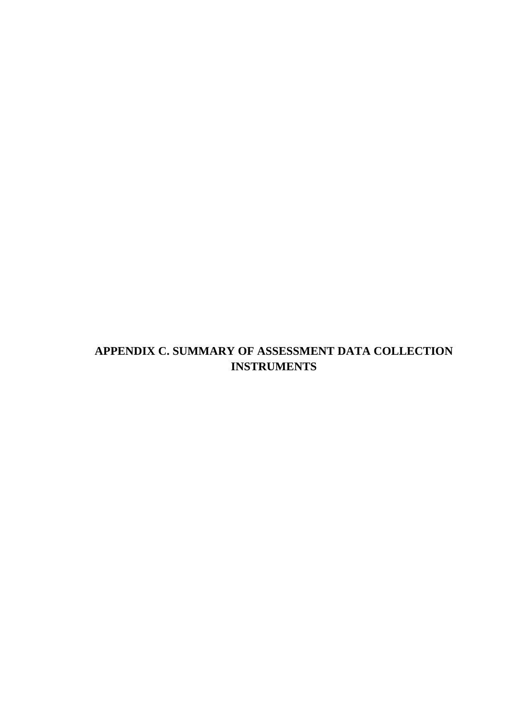# **APPENDIX C. SUMMARY OF ASSESSMENT DATA COLLECTION INSTRUMENTS**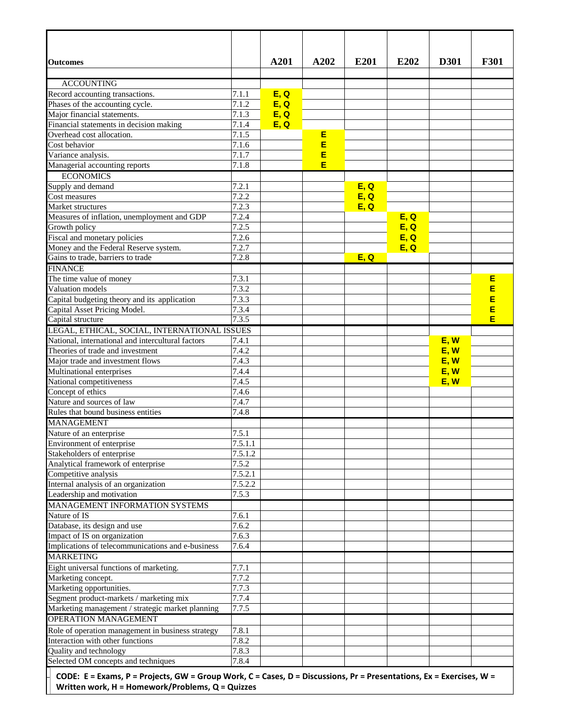| <b>Outcomes</b>                                                                                                                             |                             | A201         | A202   | E201 | E202 | <b>D301</b> | <b>F301</b> |
|---------------------------------------------------------------------------------------------------------------------------------------------|-----------------------------|--------------|--------|------|------|-------------|-------------|
|                                                                                                                                             |                             |              |        |      |      |             |             |
| <b>ACCOUNTING</b>                                                                                                                           |                             |              |        |      |      |             |             |
| Record accounting transactions.                                                                                                             | 7.1.1<br>$\overline{7}.1.2$ | E, Q<br>E, Q |        |      |      |             |             |
| Phases of the accounting cycle.                                                                                                             |                             |              |        |      |      |             |             |
| Major financial statements.                                                                                                                 | 7.1.3                       | E, Q         |        |      |      |             |             |
| Financial statements in decision making                                                                                                     | 7.1.4                       | E, Q         |        |      |      |             |             |
| Overhead cost allocation.                                                                                                                   | 7.1.5                       |              | E      |      |      |             |             |
| Cost behavior                                                                                                                               | 7.1.6                       |              | E      |      |      |             |             |
| Variance analysis.                                                                                                                          | 7.1.7                       |              | E<br>E |      |      |             |             |
| Managerial accounting reports                                                                                                               | 7.1.8                       |              |        |      |      |             |             |
| <b>ECONOMICS</b>                                                                                                                            |                             |              |        |      |      |             |             |
| Supply and demand                                                                                                                           | 7.2.1                       |              |        | E, Q |      |             |             |
| Cost measures                                                                                                                               | 7.2.2                       |              |        | E, Q |      |             |             |
| Market structures                                                                                                                           | 7.2.3                       |              |        | E, Q |      |             |             |
| Measures of inflation, unemployment and GDP                                                                                                 | 7.2.4                       |              |        |      | E, Q |             |             |
| Growth policy                                                                                                                               | 7.2.5                       |              |        |      | E, Q |             |             |
| Fiscal and monetary policies                                                                                                                | 7.2.6                       |              |        |      | E, Q |             |             |
| Money and the Federal Reserve system.                                                                                                       | 7.2.7                       |              |        |      | E, Q |             |             |
| Gains to trade, barriers to trade                                                                                                           | 7.2.8                       |              |        | E, Q |      |             |             |
| <b>FINANCE</b>                                                                                                                              |                             |              |        |      |      |             |             |
| The time value of money                                                                                                                     | 7.3.1                       |              |        |      |      |             | E           |
| Valuation models                                                                                                                            | 7.3.2                       |              |        |      |      |             | E           |
| Capital budgeting theory and its application                                                                                                | 7.3.3                       |              |        |      |      |             | E           |
| Capital Asset Pricing Model.                                                                                                                | 7.3.4                       |              |        |      |      |             | E           |
| Capital structure                                                                                                                           | 7.3.5                       |              |        |      |      |             | E           |
| LEGAL, ETHICAL, SOCIAL, INTERNATIONAL ISSUES                                                                                                |                             |              |        |      |      |             |             |
| National, international and intercultural factors                                                                                           | 7.4.1                       |              |        |      |      | E, W        |             |
| Theories of trade and investment                                                                                                            | 7.4.2                       |              |        |      |      | E, W        |             |
| Major trade and investment flows                                                                                                            | 7.4.3                       |              |        |      |      | E, W        |             |
| Multinational enterprises                                                                                                                   | 7.4.4                       |              |        |      |      | E, W        |             |
| National competitiveness                                                                                                                    | 7.4.5                       |              |        |      |      | E, W        |             |
| Concept of ethics                                                                                                                           | 7.4.6                       |              |        |      |      |             |             |
| Nature and sources of law                                                                                                                   | 7.4.7                       |              |        |      |      |             |             |
| Rules that bound business entities                                                                                                          | 7.4.8                       |              |        |      |      |             |             |
| <b>MANAGEMENT</b>                                                                                                                           |                             |              |        |      |      |             |             |
| Nature of an enterprise                                                                                                                     | 7.5.1                       |              |        |      |      |             |             |
| Environment of enterprise                                                                                                                   | 7.5.1.1                     |              |        |      |      |             |             |
| Stakeholders of enterprise                                                                                                                  | 7.5.1.2                     |              |        |      |      |             |             |
| Analytical framework of enterprise                                                                                                          | 7.5.2                       |              |        |      |      |             |             |
| Competitive analysis                                                                                                                        | 7.5.2.1                     |              |        |      |      |             |             |
| Internal analysis of an organization                                                                                                        | 7.5.2.2                     |              |        |      |      |             |             |
| Leadership and motivation                                                                                                                   | 7.5.3                       |              |        |      |      |             |             |
| MANAGEMENT INFORMATION SYSTEMS                                                                                                              |                             |              |        |      |      |             |             |
|                                                                                                                                             |                             |              |        |      |      |             |             |
| Nature of IS                                                                                                                                | 7.6.1                       |              |        |      |      |             |             |
| Database, its design and use                                                                                                                | 7.6.2                       |              |        |      |      |             |             |
| Impact of IS on organization                                                                                                                | 7.6.3                       |              |        |      |      |             |             |
| Implications of telecommunications and e-business                                                                                           | 7.6.4                       |              |        |      |      |             |             |
| <b>MARKETING</b>                                                                                                                            |                             |              |        |      |      |             |             |
| Eight universal functions of marketing.                                                                                                     | 7.7.1                       |              |        |      |      |             |             |
| Marketing concept.                                                                                                                          | 7.7.2                       |              |        |      |      |             |             |
| Marketing opportunities.                                                                                                                    | 7.7.3                       |              |        |      |      |             |             |
| Segment product-markets / marketing mix                                                                                                     | 7.7.4                       |              |        |      |      |             |             |
| Marketing management / strategic market planning                                                                                            | 7.7.5                       |              |        |      |      |             |             |
| <b>OPERATION MANAGEMENT</b>                                                                                                                 |                             |              |        |      |      |             |             |
| Role of operation management in business strategy                                                                                           | 7.8.1                       |              |        |      |      |             |             |
| Interaction with other functions                                                                                                            | 7.8.2                       |              |        |      |      |             |             |
| Quality and technology                                                                                                                      | 7.8.3                       |              |        |      |      |             |             |
| Selected OM concepts and techniques                                                                                                         | 7.8.4                       |              |        |      |      |             |             |
| $CODE$ , $E = E$ vame, $D = D$ vajaste, $C M = C$ vaun Wark, $C = C$ asse, $D = D$ issussione, $Dx = D$ vassetatione, $Ey = E$ varsione, W. |                             |              |        |      |      |             |             |

CODE: E = Exams, P = Projects, GW = Group Work, C = Cases, D = Discussions, Pr = Presentations, Ex = Exercises, W = **Written work, H = Homework/Problems, Q = Quizzes**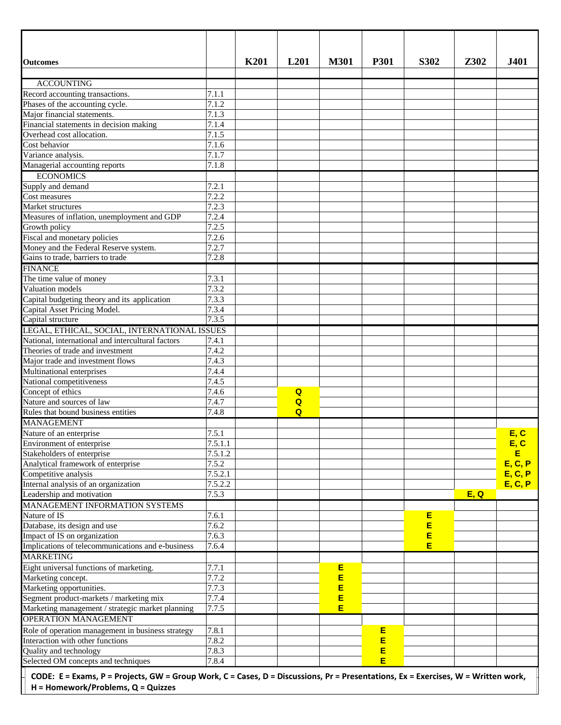| <b>Outcomes</b>                                                                                                                                                         |                      | <b>K201</b> | L <sub>201</sub> | <b>M301</b> | <b>P301</b> | S302 | Z302 | <b>J401</b> |
|-------------------------------------------------------------------------------------------------------------------------------------------------------------------------|----------------------|-------------|------------------|-------------|-------------|------|------|-------------|
| <b>ACCOUNTING</b>                                                                                                                                                       |                      |             |                  |             |             |      |      |             |
| Record accounting transactions.                                                                                                                                         | 7.1.1                |             |                  |             |             |      |      |             |
| Phases of the accounting cycle.                                                                                                                                         | 7.1.2                |             |                  |             |             |      |      |             |
| Major financial statements.                                                                                                                                             | 7.1.3                |             |                  |             |             |      |      |             |
| Financial statements in decision making                                                                                                                                 | 7.1.4                |             |                  |             |             |      |      |             |
| Overhead cost allocation.                                                                                                                                               | 7.1.5                |             |                  |             |             |      |      |             |
| Cost behavior                                                                                                                                                           | 7.1.6                |             |                  |             |             |      |      |             |
| Variance analysis.                                                                                                                                                      | 7.1.7                |             |                  |             |             |      |      |             |
| Managerial accounting reports                                                                                                                                           | 7.1.8                |             |                  |             |             |      |      |             |
| <b>ECONOMICS</b>                                                                                                                                                        |                      |             |                  |             |             |      |      |             |
| Supply and demand                                                                                                                                                       | 7.2.1                |             |                  |             |             |      |      |             |
| Cost measures                                                                                                                                                           | 7.2.2                |             |                  |             |             |      |      |             |
| Market structures                                                                                                                                                       | 7.2.3                |             |                  |             |             |      |      |             |
| Measures of inflation, unemployment and GDP                                                                                                                             | 7.2.4                |             |                  |             |             |      |      |             |
| Growth policy                                                                                                                                                           | 7.2.5                |             |                  |             |             |      |      |             |
| Fiscal and monetary policies                                                                                                                                            | 7.2.6                |             |                  |             |             |      |      |             |
| Money and the Federal Reserve system.                                                                                                                                   | 7.2.7                |             |                  |             |             |      |      |             |
| Gains to trade, barriers to trade                                                                                                                                       | 7.2.8                |             |                  |             |             |      |      |             |
| <b>FINANCE</b>                                                                                                                                                          |                      |             |                  |             |             |      |      |             |
| The time value of money                                                                                                                                                 | $\overline{7}.3.1$   |             |                  |             |             |      |      |             |
| Valuation models                                                                                                                                                        | 7.3.2                |             |                  |             |             |      |      |             |
| Capital budgeting theory and its application                                                                                                                            | 7.3.3                |             |                  |             |             |      |      |             |
| Capital Asset Pricing Model.                                                                                                                                            | 7.3.4                |             |                  |             |             |      |      |             |
| Capital structure                                                                                                                                                       | 7.3.5                |             |                  |             |             |      |      |             |
| LEGAL, ETHICAL, SOCIAL, INTERNATIONAL ISSUES                                                                                                                            |                      |             |                  |             |             |      |      |             |
| National, international and intercultural factors                                                                                                                       | 7.4.1                |             |                  |             |             |      |      |             |
| Theories of trade and investment                                                                                                                                        | 7.4.2                |             |                  |             |             |      |      |             |
| Major trade and investment flows                                                                                                                                        | 7.4.3                |             |                  |             |             |      |      |             |
| Multinational enterprises                                                                                                                                               | 7.4.4                |             |                  |             |             |      |      |             |
| National competitiveness                                                                                                                                                | 7.4.5                |             |                  |             |             |      |      |             |
| Concept of ethics                                                                                                                                                       | 7.4.6                |             | Q                |             |             |      |      |             |
| Nature and sources of law                                                                                                                                               | 7.4.7                |             | $\overline{Q}$   |             |             |      |      |             |
| Rules that bound business entities                                                                                                                                      | 7.4.8                |             | $\overline{a}$   |             |             |      |      |             |
| <b>MANAGEMENT</b>                                                                                                                                                       |                      |             |                  |             |             |      |      |             |
| Nature of an enterprise                                                                                                                                                 | 7.5.1                |             |                  |             |             |      |      | E, C        |
| Environment of enterprise                                                                                                                                               | 7.5.1.1              |             |                  |             |             |      |      | E, C        |
| Stakeholders of enterprise                                                                                                                                              | $\overline{7.5.1.2}$ |             |                  |             |             |      |      | E           |
| Analytical framework of enterprise                                                                                                                                      | 7.5.2                |             |                  |             |             |      |      | E, C, P     |
| Competitive analysis                                                                                                                                                    | 7.5.2.1              |             |                  |             |             |      |      | E, C, P     |
| Internal analysis of an organization                                                                                                                                    | 7.5.2.2              |             |                  |             |             |      |      | E, C, P     |
| Leadership and motivation                                                                                                                                               | 7.5.3                |             |                  |             |             |      | E, Q |             |
| MANAGEMENT INFORMATION SYSTEMS                                                                                                                                          |                      |             |                  |             |             |      |      |             |
| Nature of IS                                                                                                                                                            | 7.6.1                |             |                  |             |             | Е    |      |             |
| Database, its design and use                                                                                                                                            | 7.6.2                |             |                  |             |             | E    |      |             |
| Impact of IS on organization                                                                                                                                            | 7.6.3                |             |                  |             |             | E    |      |             |
| Implications of telecommunications and e-business                                                                                                                       | 7.6.4                |             |                  |             |             | Ε    |      |             |
| <b>MARKETING</b>                                                                                                                                                        |                      |             |                  |             |             |      |      |             |
| Eight universal functions of marketing.                                                                                                                                 | 7.7.1                |             |                  | Е           |             |      |      |             |
| Marketing concept.                                                                                                                                                      | 7.7.2                |             |                  | E<br>E      |             |      |      |             |
| Marketing opportunities.                                                                                                                                                | 7.7.3                |             |                  |             |             |      |      |             |
| Segment product-markets / marketing mix                                                                                                                                 | 7.7.4                |             |                  | E           |             |      |      |             |
| Marketing management / strategic market planning                                                                                                                        | 7.7.5                |             |                  | E           |             |      |      |             |
| <b>OPERATION MANAGEMENT</b>                                                                                                                                             |                      |             |                  |             |             |      |      |             |
| Role of operation management in business strategy                                                                                                                       | 7.8.1                |             |                  |             | Е           |      |      |             |
| Interaction with other functions                                                                                                                                        | 7.8.2                |             |                  |             | E           |      |      |             |
| Quality and technology                                                                                                                                                  | 7.8.3                |             |                  |             | E           |      |      |             |
| Selected OM concepts and techniques                                                                                                                                     | 7.8.4                |             |                  |             | E           |      |      |             |
| CODE: E = Exams, P = Projects, GW = Group Work, C = Cases, D = Discussions, Pr = Presentations, Ex = Exercises, W = Written work,<br>H = Homework/Problems, Q = Quizzes |                      |             |                  |             |             |      |      |             |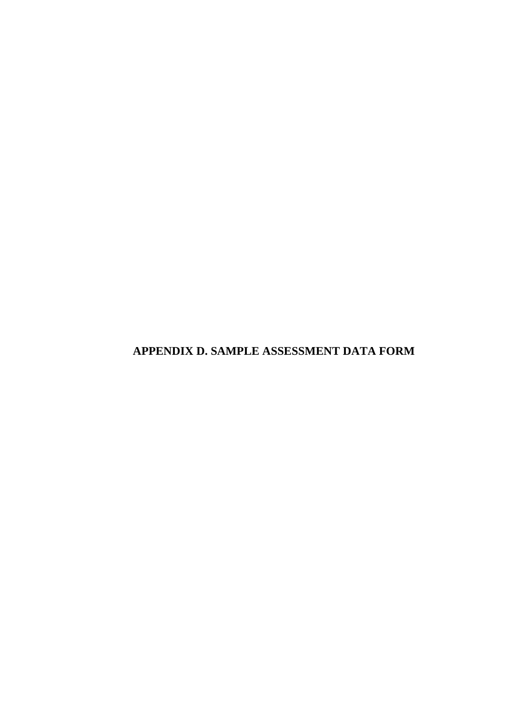**APPENDIX D. SAMPLE ASSESSMENT DATA FORM**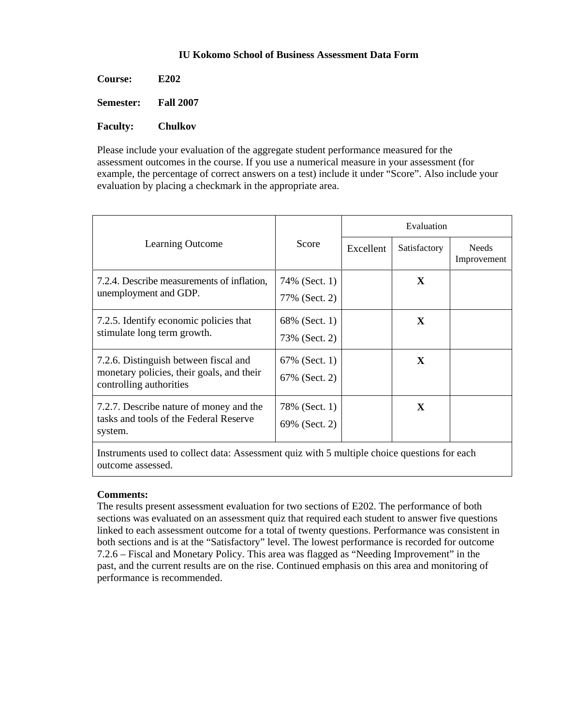## **IU Kokomo School of Business Assessment Data Form**

| <b>Course:</b>  | E202             |
|-----------------|------------------|
| Semester:       | <b>Fall 2007</b> |
| <b>Faculty:</b> | Chulkov          |

Please include your evaluation of the aggregate student performance measured for the assessment outcomes in the course. If you use a numerical measure in your assessment (for example, the percentage of correct answers on a test) include it under "Score". Also include your evaluation by placing a checkmark in the appropriate area.

|                                                                       |               | Evaluation                                                    |              |                             |  |  |  |
|-----------------------------------------------------------------------|---------------|---------------------------------------------------------------|--------------|-----------------------------|--|--|--|
| Learning Outcome                                                      | Score         | Excellent<br>$\mathbf{X}$<br>$\mathbf X$<br>$\mathbf{X}$<br>X | Satisfactory | <b>Needs</b><br>Improvement |  |  |  |
| 7.2.4. Describe measurements of inflation,                            | 74% (Sect. 1) |                                                               |              |                             |  |  |  |
| unemployment and GDP.                                                 | 77% (Sect. 2) |                                                               |              |                             |  |  |  |
| 7.2.5. Identify economic policies that<br>stimulate long term growth. | 68% (Sect. 1) |                                                               |              |                             |  |  |  |
|                                                                       | 73% (Sect. 2) |                                                               |              |                             |  |  |  |
| 7.2.6. Distinguish between fiscal and                                 | 67% (Sect. 1) |                                                               |              |                             |  |  |  |
| monetary policies, their goals, and their<br>controlling authorities  | 67% (Sect. 2) |                                                               |              |                             |  |  |  |
| 7.2.7. Describe nature of money and the                               | 78% (Sect. 1) |                                                               |              |                             |  |  |  |
| tasks and tools of the Federal Reserve<br>system.                     | 69% (Sect. 2) |                                                               |              |                             |  |  |  |
|                                                                       |               |                                                               |              |                             |  |  |  |

Instruments used to collect data: Assessment quiz with 5 multiple choice questions for each outcome assessed.

# **Comments:**

The results present assessment evaluation for two sections of E202. The performance of both sections was evaluated on an assessment quiz that required each student to answer five questions linked to each assessment outcome for a total of twenty questions. Performance was consistent in both sections and is at the "Satisfactory" level. The lowest performance is recorded for outcome 7.2.6 – Fiscal and Monetary Policy. This area was flagged as "Needing Improvement" in the past, and the current results are on the rise. Continued emphasis on this area and monitoring of performance is recommended.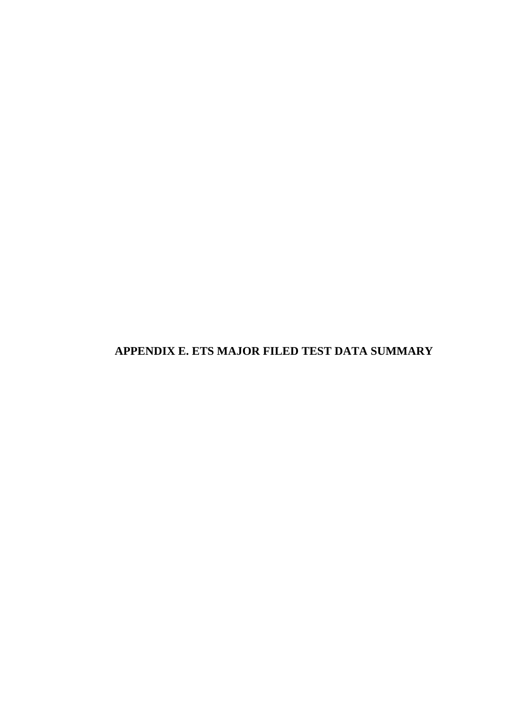**APPENDIX E. ETS MAJOR FILED TEST DATA SUMMARY**